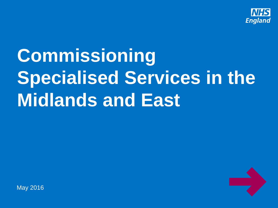

# **Commissioning Specialised Services in the Midlands and East**

May 2016

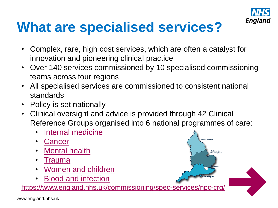

## **What are specialised services?**

- Complex, rare, high cost services, which are often a catalyst for innovation and pioneering clinical practice
- Over 140 services commissioned by 10 specialised commissioning teams across four regions
- All specialised services are commissioned to consistent national standards
- Policy is set nationally
- Clinical oversight and advice is provided through 42 Clinical Reference Groups organised into 6 national programmes of care:
	- [Internal medicine](http://www.england.nhs.uk/commissioning/spec-services/npc-crg/group-a/)
	- **[Cancer](http://www.england.nhs.uk/commissioning/spec-services/npc-crg/group-b/)**
	- **[Mental health](http://www.england.nhs.uk/commissioning/spec-services/npc-crg/group-c/)**
	- **[Trauma](http://www.england.nhs.uk/commissioning/spec-services/npc-crg/group-d/)**

www.england.nhs.uk

- [Women and children](http://www.england.nhs.uk/commissioning/spec-services/npc-crg/group-e/)
- [Blood and infection](http://www.england.nhs.uk/commissioning/spec-services/npc-crg/blood-and-infection-group-f/)

<https://www.england.nhs.uk/commissioning/spec-services/npc-crg/>

**Jorth of Fngland** 

Midlands and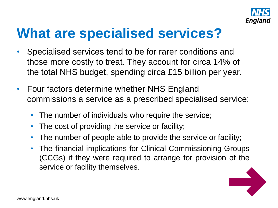

### **What are specialised services?**

- Specialised services tend to be for rarer conditions and those more costly to treat. They account for circa 14% of the total NHS budget, spending circa £15 billion per year.
- Four factors determine whether NHS England commissions a service as a prescribed specialised service:
	- The number of individuals who require the service;
	- The cost of providing the service or facility;
	- The number of people able to provide the service or facility;
	- The financial implications for Clinical Commissioning Groups (CCGs) if they were required to arrange for provision of the service or facility themselves.

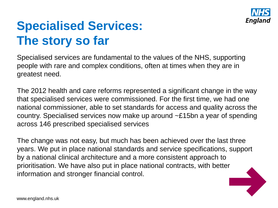

### **Specialised Services: The story so far**

Specialised services are fundamental to the values of the NHS, supporting people with rare and complex conditions, often at times when they are in greatest need.

The 2012 health and care reforms represented a significant change in the way that specialised services were commissioned. For the first time, we had one national commissioner, able to set standards for access and quality across the country. Specialised services now make up around ~£15bn a year of spending across 146 prescribed specialised services

The change was not easy, but much has been achieved over the last three years. We put in place national standards and service specifications, support by a national clinical architecture and a more consistent approach to prioritisation. We have also put in place national contracts, with better information and stronger financial control.

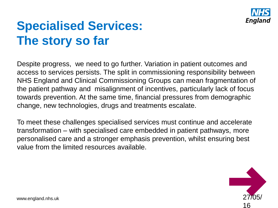

### **Specialised Services: The story so far**

Despite progress, we need to go further. Variation in patient outcomes and access to services persists. The split in commissioning responsibility between NHS England and Clinical Commissioning Groups can mean fragmentation of the patient pathway and misalignment of incentives, particularly lack of focus towards prevention. At the same time, financial pressures from demographic change, new technologies, drugs and treatments escalate.

To meet these challenges specialised services must continue and accelerate transformation – with specialised care embedded in patient pathways, more personalised care and a stronger emphasis prevention, whilst ensuring best value from the limited resources available.

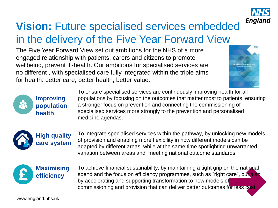

#### **Vision:** Future specialised services embedded in the delivery of the Five Year Forward View

The Five Year Forward View set out ambitions for the NHS of a more engaged relationship with patients, carers and citizens to promote wellbeing, prevent ill-health. Our ambitions for specialised services are no different , with specialised care fully integrated within the triple aims for health: better care, better health, better value.





To ensure specialised services are continuously improving health for all populations by focusing on the outcomes that matter most to patients, ensuring a stronger focus on prevention and connecting the commissioning of specialised services more strongly to the prevention and personalised medicine agendas.



To integrate specialised services within the pathway, by unlocking new models of provision and enabling more flexibility in how different models can be adapted by different areas, while at the same time spotlighting unwarranted variation between areas and meeting national outcome standards.



To achieve financial sustainability, by maintaining a tight grip on the national spend and the focus on efficiency programmes, such as "right care", but also by accelerating and supporting transformation to new models of commissioning and provision that can deliver better outcomes for less cost.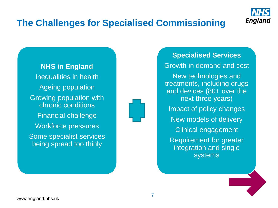

#### **The Challenges for Specialised Commissioning**

**NHS in England**  Inequalities in health Ageing population Growing population with chronic conditions Financial challenge Workforce pressures Some specialist services being spread too thinly



#### **Specialised Services**

Growth in demand and cost

New technologies and treatments, including drugs and devices (80+ over the next three years) Impact of policy changes New models of delivery Clinical engagement Requirement for greater integration and single systems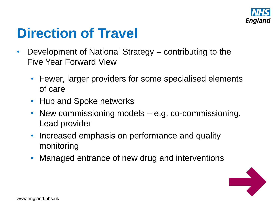

## **Direction of Travel**

- Development of National Strategy contributing to the Five Year Forward View
	- Fewer, larger providers for some specialised elements of care
	- Hub and Spoke networks
	- New commissioning models e.g. co-commissioning, Lead provider
	- Increased emphasis on performance and quality monitoring
	- Managed entrance of new drug and interventions

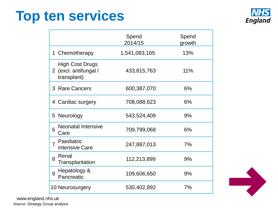## **Top ten services**



|                                                                | Spend<br>2014/15 | Spend<br>growth |
|----------------------------------------------------------------|------------------|-----------------|
| 1 Chemotherapy                                                 | 1,541,083,165    | 13%             |
| <b>High Cost Drugs</b><br>2 (excl. antifungal /<br>transplant) | 433,815,763      | 11%             |
| 3 Rare Cancers                                                 | 600,387,070      | 6%              |
| 4 Cardiac surgery                                              | 708,088,623      | 6%              |
| 5 Neurology                                                    | 543,524,409      | 9%              |
| <b>Neonatal Intensive</b><br>6<br>Care                         | 709,799,068      | 6%              |
| Paediatric<br><b>Intensive Care</b>                            | 247,887,013      | 7%              |
| Renal<br>8<br>Transplantation                                  | 112,213,899      | 9%              |
| Hepatology &<br>9<br>Pancreatic                                | 109,606,650      | 9%              |
| 10 Neurosurgery                                                | 530,402,892      | 7%              |



www.england.nhs.uk *Source*: Strategy Group analysis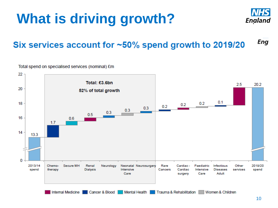## **What is driving growth?**



#### Eng Six services account for ~50% spend growth to 2019/20

Total spend on specialised services (nominal) £m

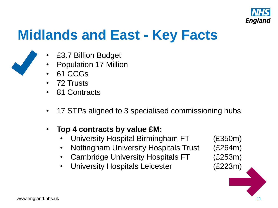

## **Midlands and East - Key Facts**



- £3.7 Billion Budget
- Population 17 Million
- 61 CCGs
- 72 Trusts
- 81 Contracts
- 17 STPs aligned to 3 specialised commissioning hubs
- **Top 4 contracts by value £M:**
	- University Hospital Birmingham FT (£350m)
	- Nottingham University Hospitals Trust (£264m)
	- Cambridge University Hospitals FT (£253m)
	- University Hospitals Leicester (£223m)

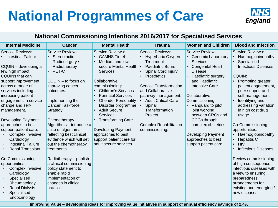## **National Programmes of Care**



| <b>National Commissioning Intentions 2016/2017 for Specialised Services</b>                                                                                                                                                                                            |                                                                                                                                                                                                             |                                                                                                                                                                                                                                                                                                    |                                                                                                                                                                                                                                                                                      |                                                                                                                                                                                                                                                                             |                                                                                                                                                                                                                                                        |  |
|------------------------------------------------------------------------------------------------------------------------------------------------------------------------------------------------------------------------------------------------------------------------|-------------------------------------------------------------------------------------------------------------------------------------------------------------------------------------------------------------|----------------------------------------------------------------------------------------------------------------------------------------------------------------------------------------------------------------------------------------------------------------------------------------------------|--------------------------------------------------------------------------------------------------------------------------------------------------------------------------------------------------------------------------------------------------------------------------------------|-----------------------------------------------------------------------------------------------------------------------------------------------------------------------------------------------------------------------------------------------------------------------------|--------------------------------------------------------------------------------------------------------------------------------------------------------------------------------------------------------------------------------------------------------|--|
| <b>Internal Medicine</b>                                                                                                                                                                                                                                               | <b>Cancer</b>                                                                                                                                                                                               | <b>Mental Health</b>                                                                                                                                                                                                                                                                               | <b>Trauma</b>                                                                                                                                                                                                                                                                        | <b>Women and Children</b>                                                                                                                                                                                                                                                   | <b>Blood and Infection</b>                                                                                                                                                                                                                             |  |
| <b>Service Reviews:</b><br><b>Intestinal Failure</b><br>CQUIN - developing a<br>few high impact<br>CQUINs that can<br>support improvement<br>across a range of<br>services including<br>increasing patient<br>engagement in service<br>change and self-<br>management. | <b>Service Reviews:</b><br>Stereotactic<br>Radiosurgery /<br>Radiotherapy<br>$·$ PET-CT<br>CQUIN - to focus on<br>improving cancer<br>outcomes.<br>Implementing the<br><b>Cancer Taskforce</b><br>Strategy. | <b>Service Reviews:</b><br><b>CAMHS Tier 4</b><br>Medium and low<br>$\bullet$<br>secure Mental Health<br><b>Services</b><br>Collaborative<br>commissioning:<br><b>Children's Services</b><br><b>Perinatal Services</b><br><b>Offender Personality</b><br>Disorder programme<br><b>Adult Secure</b> | <b>Service Reviews:</b><br>Hyperbaric Oxygen<br>Treatment<br><b>Paediatric Burns</b><br>Spinal Cord Injury<br><b>Prosthetics</b><br><b>Service Transformation</b><br>and Collaborative<br>pathway management:<br><b>Adult Critical Care</b><br>Spinal<br>$\bullet$<br>Transformation | <b>Service Reviews:</b><br><b>Genomic Laboratory</b><br><b>Services</b><br><b>Congenital Heart</b><br><b>Disease</b><br>Paediatric surgery<br>$\bullet$<br>and Paediatric<br><b>Intensive Care</b><br>Collaborative<br>Commissioning:<br>Vanguard to pilot<br>joint working | <b>Service Reviews:</b><br>Haemoglobinopathy<br>Specialised<br><b>Infectious Diseases</b><br>CQUIN:<br>Promoting greater<br>patient engagement,<br>peer support and<br>self-management<br>Identifying and<br>addressing variation<br>in high cost drug |  |
| <b>Developing Payment</b><br>approaches to best<br>support patient care:<br>Complex Invasive<br>Cardiology<br><b>Intestinal Failure</b><br>$\bullet$<br><b>Renal Transplant</b><br>$\bullet$                                                                           | Chemotherapy<br>Algorithms - introduce a<br>suite of algorithms<br>reflecting best clinical<br>evidence which will set<br>out the chemotherapy<br>treatments.                                               | <b>Services</b><br><b>Transforming Care</b><br><b>Developing Payment</b><br>approaches to best<br>support patient care for<br>adult secure services.                                                                                                                                               | Project<br><b>Complex Rehabilitation</b><br>commissioning.                                                                                                                                                                                                                           | between CRGs and<br><b>CCGs through</b><br>complex obstetrics<br><b>Developing Payment</b><br>approaches to best<br>support patient care.                                                                                                                                   | usage<br>Co-Commissioning<br>opportunities:<br>Haemoglobinopathy<br><b>Hepatitis C</b><br><b>HIV</b><br><b>Infectious Diseases</b>                                                                                                                     |  |
| Co-Commissioning<br>opportunities:<br>Complex Invasive<br>Cardiology<br>Specialised<br>$\bullet$<br>Rheumatology<br><b>Renal Dialysis</b><br>Specialised<br>Endocrinology                                                                                              | Radiotherapy - publish<br>a clinical commissioning<br>policy statement to<br>enable rapid<br>implementation of<br>changes in clinical<br>practice.                                                          |                                                                                                                                                                                                                                                                                                    |                                                                                                                                                                                                                                                                                      |                                                                                                                                                                                                                                                                             | Review commissioning<br>of high consequence<br>infectious diseases with<br>a view to ensuring<br>preparedness<br>arrangements for<br>existing and emerging /<br>new diseases.                                                                          |  |

**Improving Value – developing ideas for improving value initiatives in support of annual efficiency savings of 2.4%**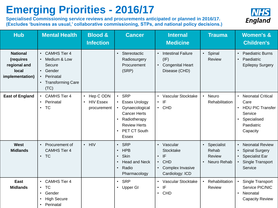#### **Emerging Priorities - 2016/17**

**Specialised Commissioning service reviews and procurements anticipated or planned in 2016/17. (Excludes 'business as usual,' collaborative commissioning, STPs, and national policy decisions.)**



| <b>Hub</b>                                                               | <b>Mental Health</b>                                                                                                                            | <b>Blood &amp;</b><br><b>Infection</b>                                 | <b>Cancer</b>                                                                                                                                                                                          | <b>Internal</b><br><b>Medicine</b>                                                                          | <b>Trauma</b>                                    | <b>Women's &amp;</b><br><b>Children's</b>                                                                                                      |
|--------------------------------------------------------------------------|-------------------------------------------------------------------------------------------------------------------------------------------------|------------------------------------------------------------------------|--------------------------------------------------------------------------------------------------------------------------------------------------------------------------------------------------------|-------------------------------------------------------------------------------------------------------------|--------------------------------------------------|------------------------------------------------------------------------------------------------------------------------------------------------|
| <b>National</b><br>(requires<br>regional and<br>local<br>implementation) | <b>CAMHS Tier 4</b><br>$\bullet$<br>Medium & Low<br>Secure<br>Gender<br>$\bullet$<br>Perinatal<br>$\bullet$<br><b>Transforming Care</b><br>(TC) |                                                                        | Stereotactic<br>$\bullet$<br>Radiosurgery<br>Procurement<br>(SRP)                                                                                                                                      | <b>Intestinal Failure</b><br>$\bullet$<br>(IF)<br><b>Congenital Heart</b><br>$\bullet$<br>Disease (CHD)     | • Spinal<br><b>Review</b>                        | <b>Paediatric Burns</b><br>$\bullet$<br>Paediatric<br>$\bullet$<br><b>Epilepsy Surgery</b>                                                     |
| <b>East of England</b>                                                   | <b>CAMHS Tier 4</b><br>$\bullet$<br>Perinatal<br>$\bullet$<br><b>TC</b><br>$\bullet$                                                            | Hep C ODN<br>$\bullet$<br><b>HIV Essex</b><br>$\bullet$<br>procurement | <b>SRP</b><br>$\bullet$<br><b>Essex Urology</b><br>Gynaecological<br>$\bullet$<br><b>Cancer Herts</b><br>Radiotherapy<br>$\bullet$<br><b>Review Herts</b><br>PET CT South<br>$\bullet$<br><b>Essex</b> | Vascular Stocktake<br>IF<br>$\bullet$<br>$\cdot$ CHD                                                        | Neuro<br>Rehabilitation                          | <b>Neonatal Critical</b><br>Care<br><b>HDU PIC Transfer</b><br>$\bullet$<br>Service<br>Specialised<br>$\bullet$<br>Paediatric<br>Capacity      |
| West<br><b>Midlands</b>                                                  | Procurement of<br><b>CAMHS Tier 4</b><br><b>TC</b><br>$\bullet$                                                                                 | <b>HIV</b><br>$\bullet$                                                | <b>SRP</b><br>$\bullet$<br><b>HPB</b><br>$\bullet$<br>Skin<br>$\bullet$<br><b>Head and Neck</b><br>$\bullet$<br>Radio<br>$\bullet$<br>Pharmacology                                                     | Vascular<br>$\bullet$<br>Stocktake<br>IF<br>$\bullet$<br>$\cdot$ CHD<br>Complex Invasive<br>Cardiology: ICD | • Specialist<br>Rehab<br>Review<br>• Neuro Rehab | <b>Neonatal Review</b><br>$\bullet$<br><b>Spinal Surgery</b><br>$\bullet$<br><b>Specialist Ear</b><br>Single Transport<br>$\bullet$<br>Service |
| <b>East</b><br><b>Midlands</b>                                           | <b>CAMHS Tier 4</b><br>$\bullet$<br><b>TC</b><br>$\bullet$<br>Gender<br>$\bullet$<br><b>High Secure</b><br>$\bullet$<br>Perinatal<br>$\bullet$  |                                                                        | <b>SRP</b><br>$\bullet$<br>Upper GI<br>$\bullet$                                                                                                                                                       | Vascular Stocktake<br>$\bullet$<br>IF<br>$\bullet$<br>CHD<br>$\bullet$                                      | Rehabilitation<br>Review                         | Single Transport<br>$\bullet$<br>Service PIC/NIC<br>Neonatal<br>$\bullet$<br><b>Capacity Review</b>                                            |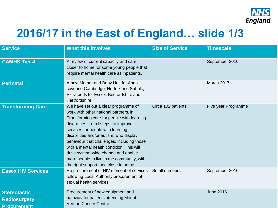

#### **2016/17 in the East of England… slide 1/3**

| <b>Service</b>                                                   | <b>What this involves</b>                                                                                                                                                                                                                                                                                                                                                                                                                                                     | <b>Size of Service</b> | <b>Timescale</b>    |
|------------------------------------------------------------------|-------------------------------------------------------------------------------------------------------------------------------------------------------------------------------------------------------------------------------------------------------------------------------------------------------------------------------------------------------------------------------------------------------------------------------------------------------------------------------|------------------------|---------------------|
| <b>CAMHS Tier 4</b>                                              | A review of current capacity and care<br>closer to home for some young people that<br>require mental health care as inpatients.                                                                                                                                                                                                                                                                                                                                               |                        | September 2016      |
| <b>Perinatal</b>                                                 | A new Mother and Baby Unit for Anglia<br>covering Cambridge, Norfolk and Suffolk;<br>Extra beds for Essex, Bedfordshire and<br>Hertfordshire.                                                                                                                                                                                                                                                                                                                                 |                        | March 2017          |
| <b>Transforming Care</b>                                         | We have set out a clear programme of<br>work with other national partners, in<br>Transforming care for people with learning<br>disabilities - next steps, to improve<br>services for people with learning<br>disabilities and/or autism, who display<br>behaviour that challenges, including those<br>with a mental health condition. This will<br>drive system-wide change and enable<br>more people to live in the community, with<br>the right support, and close to home. | Circa 102 patients     | Five year Programme |
| <b>Essex HIV Services</b>                                        | Re procurement of HIV element of services<br>following Local Authority procurement of<br>sexual health services.                                                                                                                                                                                                                                                                                                                                                              | Small numbers          | September 2016      |
| <b>Stereotactic</b><br><b>Radiosurgery</b><br><b>Procurement</b> | Procurement of new equipment and<br>pathway for patients attending Mount<br>Vernon Cancer Centre.                                                                                                                                                                                                                                                                                                                                                                             |                        | <b>June 2016</b>    |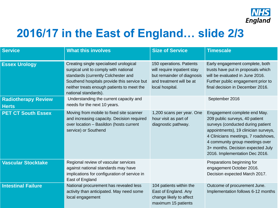

#### **2016/17 in the East of England… slide 2/3**

| <b>Service</b>                             | <b>What this involves</b>                                                                                                                                                                                                                   | <b>Size of Service</b>                                                                                                               | <b>Timescale</b>                                                                                                                                                                                                                                                                             |
|--------------------------------------------|---------------------------------------------------------------------------------------------------------------------------------------------------------------------------------------------------------------------------------------------|--------------------------------------------------------------------------------------------------------------------------------------|----------------------------------------------------------------------------------------------------------------------------------------------------------------------------------------------------------------------------------------------------------------------------------------------|
| <b>Essex Urology</b>                       | Creating single specialised urological<br>surgical unit to comply with national<br>standards (currently Colchester and<br>Southend hospitals provide this service but<br>neither treats enough patients to meet the<br>national standards). | 150 operations. Patients<br>will require inpatient stay<br>but remainder of diagnosis<br>and treatment will be at<br>local hospital. | Early engagement complete, both<br>trusts have put in proposals which<br>will be evaluated in June 2016.<br>Further public engagement prior to<br>final decision in December 2016.                                                                                                           |
| <b>Radiotherapy Review</b><br><b>Herts</b> | Understanding the current capacity and<br>needs for the next 10 years.                                                                                                                                                                      |                                                                                                                                      | September 2016                                                                                                                                                                                                                                                                               |
| <b>PET CT South Essex</b>                  | Moving from mobile to fixed site scanner<br>and increasing capacity. Decision required<br>over location - Basildon (hosts current<br>service) or Southend                                                                                   | 1,200 scans per year. One<br>hour visit as part of<br>diagnostic pathway.                                                            | Engagement complete end May.<br>209 public surveys, 40 patient<br>surveys (conducted during patient<br>appointments), 19 clinician surveys,<br>4 Clinicians meetings, 7 roadshows,<br>4 community group meetings over<br>3+ months. Decision expected July<br>2016. Implementation Dec 2016. |
| <b>Vascular Stocktake</b>                  | Regional review of vascular services<br>against national standards may have<br>implications for configuration of service in<br>East of England                                                                                              |                                                                                                                                      | Preparations beginning for<br>engagement October 2016.<br>Decision expected March 2017.                                                                                                                                                                                                      |
| <b>Intestinal Failure</b>                  | National procurement has revealed less<br>activity than anticipated. May need some<br>local engagement                                                                                                                                      | 104 patients within the<br>East of England. Any<br>change likely to affect<br>maximum 15 patients                                    | Outcome of procurement June.<br>Implementation follows 6-12 months                                                                                                                                                                                                                           |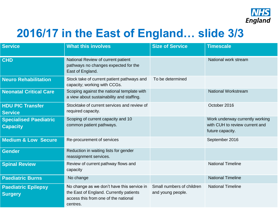

#### **2016/17 in the East of England… slide 3/3**

| <b>Service</b>                                   | <b>What this involves</b>                                                                                                                 | <b>Size of Service</b>                         | <b>Timescale</b>                                                                      |
|--------------------------------------------------|-------------------------------------------------------------------------------------------------------------------------------------------|------------------------------------------------|---------------------------------------------------------------------------------------|
| <b>CHD</b>                                       | National Review of current patient<br>pathways no changes expected for the<br>East of England.                                            |                                                | National work stream                                                                  |
| <b>Neuro Rehabilitation</b>                      | Stock take of current patient pathways and<br>capacity; working with CCGs.                                                                | To be determined                               |                                                                                       |
| <b>Neonatal Critical Care</b>                    | Scoping against the national template with<br>a view about sustainability and staffing.                                                   |                                                | <b>National Workstream</b>                                                            |
| <b>HDU PIC Transfer</b><br><b>Service</b>        | Stocktake of current services and review of<br>required capacity.                                                                         |                                                | October 2016                                                                          |
| <b>Specialised Paediatric</b><br><b>Capacity</b> | Scoping of current capacity and 10<br>common patient pathways.                                                                            |                                                | Work underway currently working<br>with CUH to review current and<br>future capacity. |
| <b>Medium &amp; Low Secure</b>                   | Re-procurement of services                                                                                                                |                                                | September 2016                                                                        |
| <b>Gender</b>                                    | Reduction in waiting lists for gender<br>reassignment services.                                                                           |                                                |                                                                                       |
| <b>Spinal Review</b>                             | Review of current pathway flows and<br>capacity                                                                                           |                                                | <b>National Timeline</b>                                                              |
| <b>Paediatric Burns</b>                          | No change                                                                                                                                 |                                                | <b>National Timeline</b>                                                              |
| <b>Paediatric Epilepsy</b><br><b>Surgery</b>     | No change as we don't have this service in<br>the East of England. Currently patients<br>access this from one of the national<br>centres. | Small numbers of children<br>and young people. | <b>National Timeline</b>                                                              |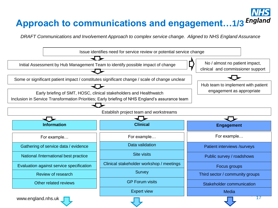## **Approach to communications and engagement…1/3**

*DRAFT Communications and Involvement Approach to complex service change. Aligned to NHS England Assurance*

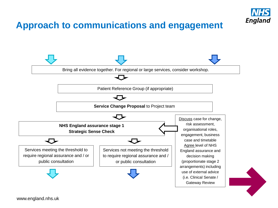

#### **Approach to communications and engagement**



www.england.nhs.uk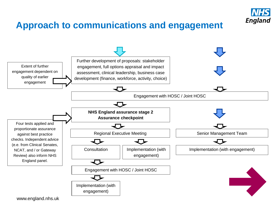

#### **Approach to communications and engagement**